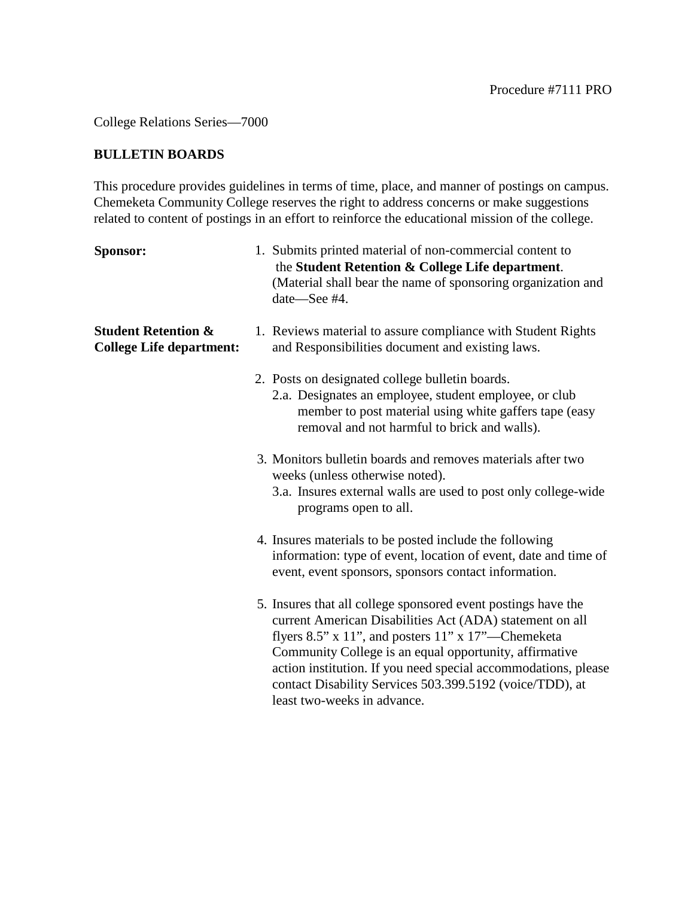College Relations Series—7000

## **BULLETIN BOARDS**

This procedure provides guidelines in terms of time, place, and manner of postings on campus. Chemeketa Community College reserves the right to address concerns or make suggestions related to content of postings in an effort to reinforce the educational mission of the college.

| Sponsor:                                                          | 1. Submits printed material of non-commercial content to<br>the Student Retention & College Life department.<br>(Material shall bear the name of sponsoring organization and<br>date-See #4.                                                                                                                                                                                                                      |
|-------------------------------------------------------------------|-------------------------------------------------------------------------------------------------------------------------------------------------------------------------------------------------------------------------------------------------------------------------------------------------------------------------------------------------------------------------------------------------------------------|
| <b>Student Retention &amp;</b><br><b>College Life department:</b> | 1. Reviews material to assure compliance with Student Rights<br>and Responsibilities document and existing laws.                                                                                                                                                                                                                                                                                                  |
|                                                                   | 2. Posts on designated college bulletin boards.<br>2.a. Designates an employee, student employee, or club<br>member to post material using white gaffers tape (easy<br>removal and not harmful to brick and walls).                                                                                                                                                                                               |
|                                                                   | 3. Monitors bulletin boards and removes materials after two<br>weeks (unless otherwise noted).<br>3.a. Insures external walls are used to post only college-wide<br>programs open to all.                                                                                                                                                                                                                         |
|                                                                   | 4. Insures materials to be posted include the following<br>information: type of event, location of event, date and time of<br>event, event sponsors, sponsors contact information.                                                                                                                                                                                                                                |
|                                                                   | 5. Insures that all college sponsored event postings have the<br>current American Disabilities Act (ADA) statement on all<br>flyers $8.5$ " x $11$ ", and posters $11$ " x $17$ "—Chemeketa<br>Community College is an equal opportunity, affirmative<br>action institution. If you need special accommodations, please<br>contact Disability Services 503.399.5192 (voice/TDD), at<br>least two-weeks in advance |